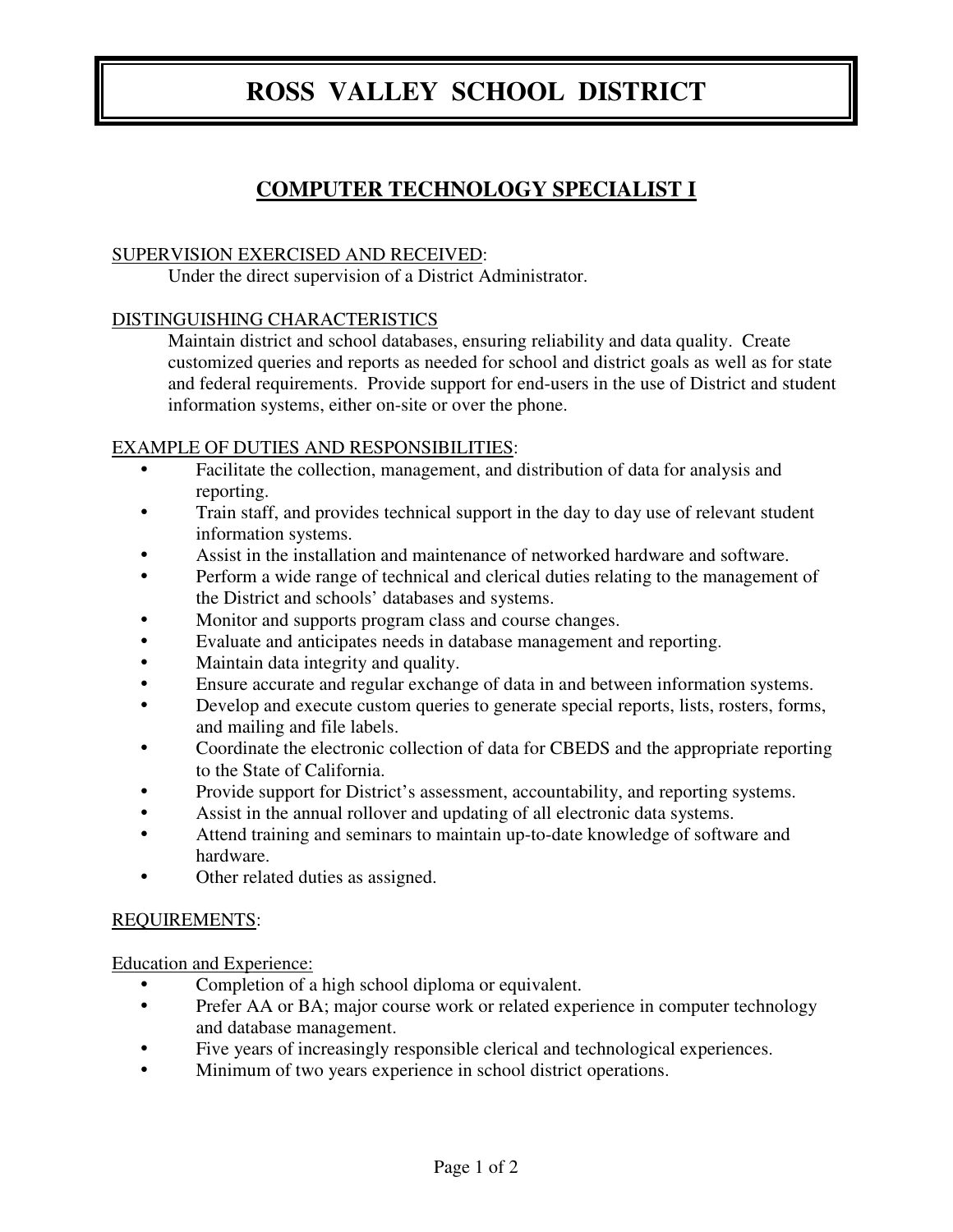# **ROSS VALLEY SCHOOL DISTRICT**

## **COMPUTER TECHNOLOGY SPECIALIST I**

#### SUPERVISION EXERCISED AND RECEIVED:

Under the direct supervision of a District Administrator.

### DISTINGUISHING CHARACTERISTICS

 Maintain district and school databases, ensuring reliability and data quality. Create customized queries and reports as needed for school and district goals as well as for state and federal requirements. Provide support for end-users in the use of District and student information systems, either on-site or over the phone.

### EXAMPLE OF DUTIES AND RESPONSIBILITIES:

- Facilitate the collection, management, and distribution of data for analysis and reporting.
- Train staff, and provides technical support in the day to day use of relevant student information systems.
- Assist in the installation and maintenance of networked hardware and software.
- Perform a wide range of technical and clerical duties relating to the management of the District and schools' databases and systems.
- Monitor and supports program class and course changes.
- Evaluate and anticipates needs in database management and reporting.
- Maintain data integrity and quality.
- Ensure accurate and regular exchange of data in and between information systems.
- Develop and execute custom queries to generate special reports, lists, rosters, forms, and mailing and file labels.
- Coordinate the electronic collection of data for CBEDS and the appropriate reporting to the State of California.
- Provide support for District's assessment, accountability, and reporting systems.
- Assist in the annual rollover and updating of all electronic data systems.
- Attend training and seminars to maintain up-to-date knowledge of software and hardware.
- Other related duties as assigned.

### REQUIREMENTS:

Education and Experience:

- Completion of a high school diploma or equivalent.
- Prefer AA or BA; major course work or related experience in computer technology and database management.
- Five years of increasingly responsible clerical and technological experiences.
- Minimum of two years experience in school district operations.